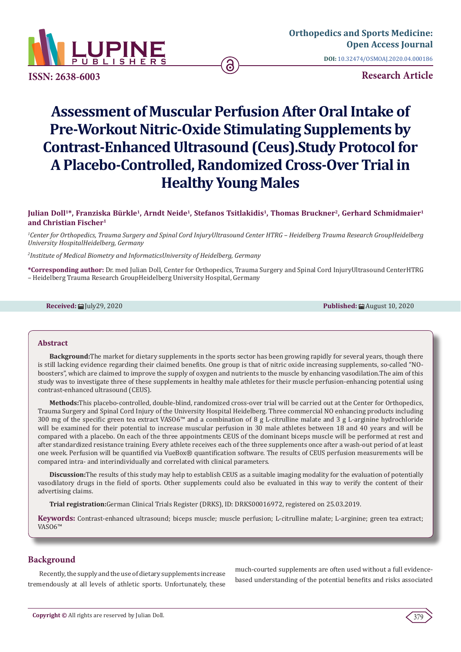

**ISSN: 2638-6003**

**Research Article**

# **Assessment of Muscular Perfusion After Oral Intake of Pre-Workout Nitric-Oxide Stimulating Supplements by Contrast-Enhanced Ultrasound (Ceus).Study Protocol for A Placebo-Controlled, Randomized Cross-Over Trial in Healthy Young Males**

# **Julian Doll1\*, Franziska Bürkle1, Arndt Neide1, Stefanos Tsitlakidis1, Thomas Bruckner2, Gerhard Schmidmaier1 and Christian Fischer1**

*1 Center for Orthopedics, Trauma Surgery and Spinal Cord InjuryUltrasound Center HTRG – Heidelberg Trauma Research GroupHeidelberg University HospitalHeidelberg, Germany*

*2 Institute of Medical Biometry and InformaticsUniversity of Heidelberg, Germany*

**\*Corresponding author:** Dr. med Julian Doll, Center for Orthopedics, Trauma Surgery and Spinal Cord InjuryUltrasound CenterHTRG – Heidelberg Trauma Research GroupHeidelberg University Hospital, Germany

**Received:** August 10, 2020 **Published:** August 10, 2020

# **Abstract**

**Background:**The market for dietary supplements in the sports sector has been growing rapidly for several years, though there is still lacking evidence regarding their claimed benefits. One group is that of nitric oxide increasing supplements, so-called "NOboosters", which are claimed to improve the supply of oxygen and nutrients to the muscle by enhancing vasodilation.The aim of this study was to investigate three of these supplements in healthy male athletes for their muscle perfusion-enhancing potential using contrast-enhanced ultrasound (CEUS).

**Methods:**This placebo-controlled, double-blind, randomized cross-over trial will be carried out at the Center for Orthopedics, Trauma Surgery and Spinal Cord Injury of the University Hospital Heidelberg. Three commercial NO enhancing products including 300 mg of the specific green tea extract VASO6™ and a combination of 8 g L-citrulline malate and 3 g L-arginine hydrochloride will be examined for their potential to increase muscular perfusion in 30 male athletes between 18 and 40 years and will be compared with a placebo. On each of the three appointments CEUS of the dominant biceps muscle will be performed at rest and after standardized resistance training. Every athlete receives each of the three supplements once after a wash-out period of at least one week. Perfusion will be quantified via VueBox® quantification software. The results of CEUS perfusion measurements will be compared intra- and interindividually and correlated with clinical parameters.

**Discussion:**The results of this study may help to establish CEUS as a suitable imaging modality for the evaluation of potentially vasodilatory drugs in the field of sports. Other supplements could also be evaluated in this way to verify the content of their advertising claims.

**Trial registration:**German Clinical Trials Register (DRKS), ID: DRKS00016972, registered on 25.03.2019.

**Keywords:** Contrast-enhanced ultrasound; biceps muscle; muscle perfusion; L-citrulline malate; L-arginine; green tea extract; VASO6™

# **Background**

Recently, the supply and the use of dietary supplements increase tremendously at all levels of athletic sports. Unfortunately, these much-courted supplements are often used without a full evidencebased understanding of the potential benefits and risks associated

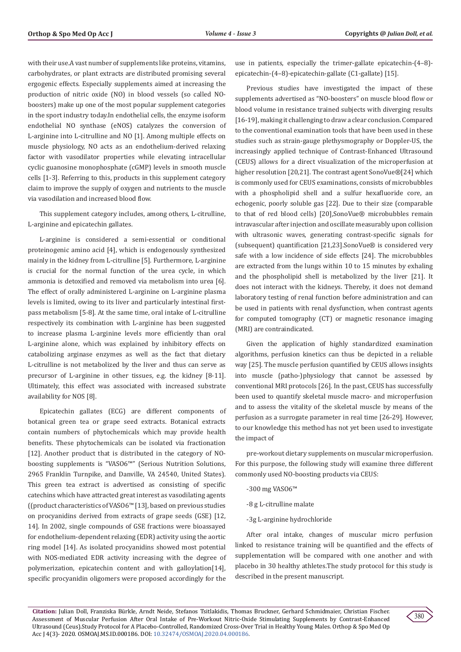with their use.A vast number of supplements like proteins, vitamins, carbohydrates, or plant extracts are distributed promising several ergogenic effects. Especially supplements aimed at increasing the production of nitric oxide (NO) in blood vessels (so called NOboosters) make up one of the most popular supplement categories in the sport industry today.In endothelial cells, the enzyme isoform endothelial NO synthase (eNOS) catalyzes the conversion of L-arginine into L-citrulline and NO [1]. Among multiple effects on muscle physiology, NO acts as an endothelium‐derived relaxing factor with vasodilator properties while elevating intracellular cyclic guanosine monophosphate (cGMP) levels in smooth muscle cells [1-3]. Referring to this, products in this supplement category claim to improve the supply of oxygen and nutrients to the muscle via vasodilation and increased blood flow.

This supplement category includes, among others, L-citrulline, L-arginine and epicatechin gallates.

L-arginine is considered a semi-essential or conditional proteinogenic amino acid [4], which is endogenously synthesized mainly in the kidney from L-citrulline [5]. Furthermore, L-arginine is crucial for the normal function of the urea cycle, in which ammonia is detoxified and removed via metabolism into urea [6]. The effect of orally administered L-arginine on L-arginine plasma levels is limited, owing to its liver and particularly intestinal firstpass metabolism [5-8]. At the same time, oral intake of L-citrulline respectively its combination with L-arginine has been suggested to increase plasma L-arginine levels more efficiently than oral L-arginine alone, which was explained by inhibitory effects on catabolizing arginase enzymes as well as the fact that dietary L-citrulline is not metabolized by the liver and thus can serve as precursor of L-arginine in other tissues, e.g. the kidney [8-11]. Ultimately, this effect was associated with increased substrate availability for NOS [8].

Epicatechin gallates (ECG) are different components of botanical green tea or grape seed extracts. Botanical extracts contain numbers of phytochemicals which may provide health benefits. These phytochemicals can be isolated via fractionation [12]. Another product that is distributed in the category of NOboosting supplements is "VASO6™" (Serious Nutrition Solutions, 2965 Franklin Turnpike, and Danville, VA 24540, United States). This green tea extract is advertised as consisting of specific catechins which have attracted great interest as vasodilating agents ((product characteristics of VASO6™ [13], based on previous studies on procyanidins derived from extracts of grape seeds (GSE) [12, 14]. In 2002, single compounds of GSE fractions were bioassayed for endothelium-dependent relaxing (EDR) activity using the aortic ring model [14]. As isolated procyanidins showed most potential with NOS-mediated EDR activity increasing with the degree of polymerization, epicatechin content and with galloylation[14], specific procyanidin oligomers were proposed accordingly for the

use in patients, especially the trimer-gallate epicatechin-(4–8) epicatechin-(4–8)-epicatechin-gallate (C1-gallate) [15].

Previous studies have investigated the impact of these supplements advertised as "NO-boosters" on muscle blood flow or blood volume in resistance trained subjects with diverging results [16-19], making it challenging to draw a clear conclusion. Compared to the conventional examination tools that have been used in these studies such as strain-gauge plethysmography or Doppler-US, the increasingly applied technique of Contrast-Enhanced Ultrasound (CEUS) allows for a direct visualization of the microperfusion at higher resolution [20,21]. The contrast agent SonoVue®[24] which is commonly used for CEUS examinations, consists of microbubbles with a phospholipid shell and a sulfur hexafluoride core, an echogenic, poorly soluble gas [22]. Due to their size (comparable to that of red blood cells) [20],SonoVue® microbubbles remain intravascular after injection and oscillate measurably upon collision with ultrasonic waves, generating contrast-specific signals for (subsequent) quantification [21,23].SonoVue® is considered very safe with a low incidence of side effects [24]. The microbubbles are extracted from the lungs within 10 to 15 minutes by exhaling and the phospholipid shell is metabolized by the liver [21]. It does not interact with the kidneys. Thereby, it does not demand laboratory testing of renal function before administration and can be used in patients with renal dysfunction, when contrast agents for computed tomography (CT) or magnetic resonance imaging (MRI) are contraindicated.

Given the application of highly standardized examination algorithms, perfusion kinetics can thus be depicted in a reliable way [25]. The muscle perfusion quantified by CEUS allows insights into muscle (patho-)physiology that cannot be assessed by conventional MRI protocols [26]. In the past, CEUS has successfully been used to quantify skeletal muscle macro- and microperfusion and to assess the vitality of the skeletal muscle by means of the perfusion as a surrogate parameter in real time [26-29]. However, to our knowledge this method has not yet been used to investigate the impact of

pre-workout dietary supplements on muscular microperfusion. For this purpose, the following study will examine three different commonly used NO-boosting products via CEUS:

- -300 mg VASO6™
- -8 g L-citrulline malate
- -3g L-arginine hydrochloride

After oral intake, changes of muscular micro perfusion linked to resistance training will be quantified and the effects of supplementation will be compared with one another and with placebo in 30 healthy athletes.The study protocol for this study is described in the present manuscript.

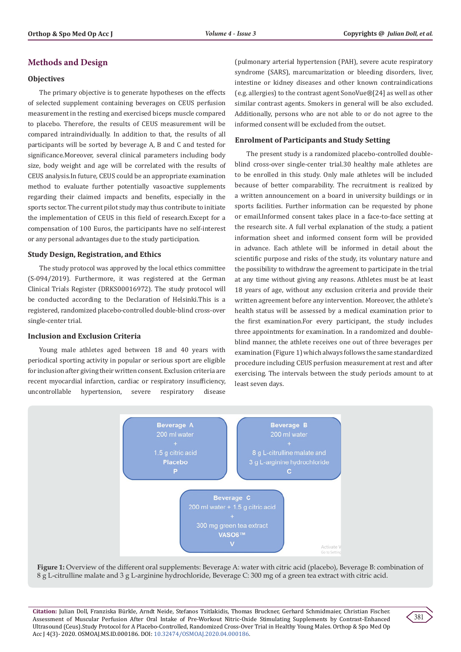# **Methods and Design**

## **Objectives**

The primary objective is to generate hypotheses on the effects of selected supplement containing beverages on CEUS perfusion measurement in the resting and exercised biceps muscle compared to placebo. Therefore, the results of CEUS measurement will be compared intraindividually. In addition to that, the results of all participants will be sorted by beverage A, B and C and tested for significance.Moreover, several clinical parameters including body size, body weight and age will be correlated with the results of CEUS analysis.In future, CEUS could be an appropriate examination method to evaluate further potentially vasoactive supplements regarding their claimed impacts and benefits, especially in the sports sector. The current pilot study may thus contribute to initiate the implementation of CEUS in this field of research.Except for a compensation of 100 Euros, the participants have no self-interest or any personal advantages due to the study participation.

#### **Study Design, Registration, and Ethics**

The study protocol was approved by the local ethics committee (S-094/2019). Furthermore, it was registered at the German Clinical Trials Register (DRKS00016972). The study protocol will be conducted according to the Declaration of Helsinki.This is a registered, randomized placebo-controlled double-blind cross-over single-center trial.

#### **Inclusion and Exclusion Criteria**

Young male athletes aged between 18 and 40 years with periodical sporting activity in popular or serious sport are eligible for inclusion after giving their written consent. Exclusion criteria are recent myocardial infarction, cardiac or respiratory insufficiency, uncontrollable hypertension, severe respiratory disease

(pulmonary arterial hypertension (PAH), severe acute respiratory syndrome (SARS), marcumarization or bleeding disorders, liver, intestine or kidney diseases and other known contraindications (e.g. allergies) to the contrast agent SonoVue®[24] as well as other similar contrast agents. Smokers in general will be also excluded. Additionally, persons who are not able to or do not agree to the informed consent will be excluded from the outset.

#### **Enrolment of Participants and Study Setting**

The present study is a randomized placebo-controlled doubleblind cross-over single-center trial.30 healthy male athletes are to be enrolled in this study. Only male athletes will be included because of better comparability. The recruitment is realized by a written announcement on a board in university buildings or in sports facilities. Further information can be requested by phone or email.Informed consent takes place in a face-to-face setting at the research site. A full verbal explanation of the study, a patient information sheet and informed consent form will be provided in advance. Each athlete will be informed in detail about the scientific purpose and risks of the study, its voluntary nature and the possibility to withdraw the agreement to participate in the trial at any time without giving any reasons. Athletes must be at least 18 years of age, without any exclusion criteria and provide their written agreement before any intervention. Moreover, the athlete's health status will be assessed by a medical examination prior to the first examination.For every participant, the study includes three appointments for examination. In a randomized and doubleblind manner, the athlete receives one out of three beverages per examination (Figure 1) which always follows the same standardized procedure including CEUS perfusion measurement at rest and after exercising. The intervals between the study periods amount to at least seven days.



**Figure 1:** Overview of the different oral supplements: Beverage A: water with citric acid (placebo), Beverage B: combination of 8 g L-citrulline malate and 3 g L-arginine hydrochloride, Beverage C: 300 mg of a green tea extract with citric acid.

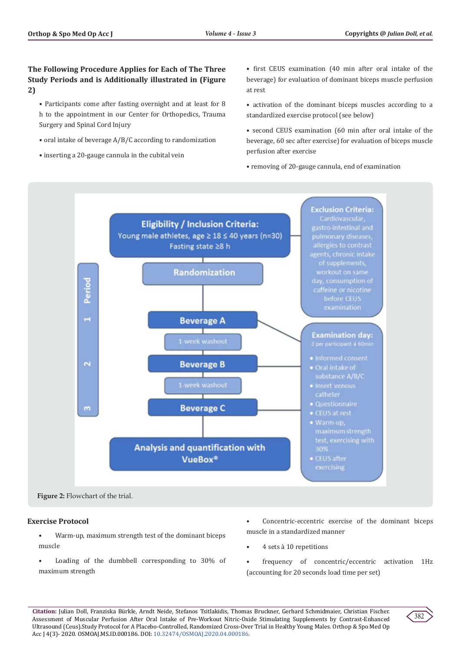# **The Following Procedure Applies for Each of The Three Study Periods and is Additionally illustrated in (Figure 2)**

- Participants come after fasting overnight and at least for 8 h to the appointment in our Center for Orthopedics, Trauma Surgery and Spinal Cord Injury
- oral intake of beverage A/B/C according to randomization
- inserting a 20-gauge cannula in the cubital vein

• first CEUS examination (40 min after oral intake of the beverage) for evaluation of dominant biceps muscle perfusion at rest

- activation of the dominant biceps muscles according to a standardized exercise protocol (see below)
- second CEUS examination (60 min after oral intake of the beverage, 60 sec after exercise) for evaluation of biceps muscle perfusion after exercise

• removing of 20-gauge cannula, end of examination



**Figure 2:** Flowchart of the trial.

# **Exercise Protocol**

- Warm-up, maximum strength test of the dominant biceps muscle
- Loading of the dumbbell corresponding to 30% of maximum strength
- Concentric-eccentric exercise of the dominant biceps muscle in a standardized manner
- 4 sets à 10 repetitions
- frequency of concentric/eccentric activation 1Hz (accounting for 20 seconds load time per set)

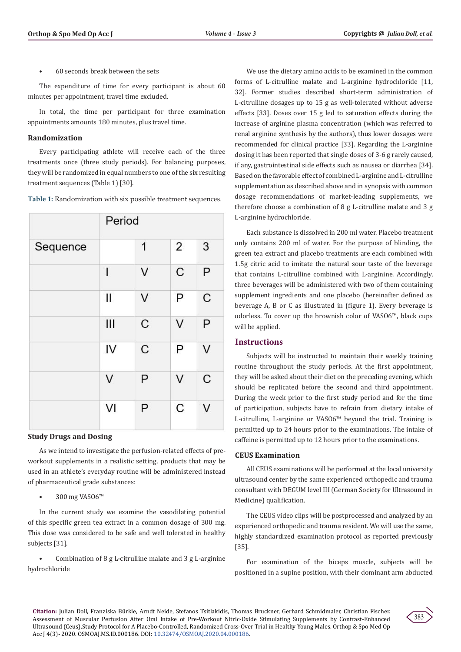• 60 seconds break between the sets

The expenditure of time for every participant is about 60 minutes per appointment, travel time excluded.

In total, the time per participant for three examination appointments amounts 180 minutes, plus travel time.

#### **Randomization**

Every participating athlete will receive each of the three treatments once (three study periods). For balancing purposes, they will be randomized in equal numbers to one of the six resulting treatment sequences (Table 1) [30].

**Table 1:** Randomization with six possible treatment sequences.

|          | Period      |   |                |   |  |  |
|----------|-------------|---|----------------|---|--|--|
| Sequence |             | 1 | $\overline{2}$ | 3 |  |  |
|          | $\mathbf I$ | V | $\mathsf{C}$   | P |  |  |
|          | Ш           | V | P              | C |  |  |
|          | Ш           | C | $\vee$         | P |  |  |
|          | IV          | C | P              | ٧ |  |  |
|          | V           | P | $\vee$         | C |  |  |
|          | VI          | P | C              | V |  |  |

## **Study Drugs and Dosing**

As we intend to investigate the perfusion-related effects of preworkout supplements in a realistic setting, products that may be used in an athlete's everyday routine will be administered instead of pharmaceutical grade substances:

• 300 mg VASO6™

In the current study we examine the vasodilating potential of this specific green tea extract in a common dosage of 300 mg. This dose was considered to be safe and well tolerated in healthy subjects [31].

Combination of  $8 \text{ g }$  L-citrulline malate and  $3 \text{ g }$  L-arginine hydrochloride

We use the dietary amino acids to be examined in the common forms of L-citrulline malate and L-arginine hydrochloride [11, 32]. Former studies described short-term administration of L-citrulline dosages up to 15 g as well-tolerated without adverse effects [33]. Doses over 15 g led to saturation effects during the increase of arginine plasma concentration (which was referred to renal arginine synthesis by the authors), thus lower dosages were recommended for clinical practice [33]. Regarding the L-arginine dosing it has been reported that single doses of 3-6 g rarely caused, if any, gastrointestinal side effects such as nausea or diarrhea [34]. Based on the favorable effect of combined L-arginine and L-citrulline supplementation as described above and in synopsis with common dosage recommendations of market-leading supplements, we therefore choose a combination of 8 g L-citrulline malate and 3 g L-arginine hydrochloride.

Each substance is dissolved in 200 ml water. Placebo treatment only contains 200 ml of water. For the purpose of blinding, the green tea extract and placebo treatments are each combined with 1.5g citric acid to imitate the natural sour taste of the beverage that contains L-citrulline combined with L-arginine. Accordingly, three beverages will be administered with two of them containing supplement ingredients and one placebo (hereinafter defined as beverage A, B or C as illustrated in (figure 1). Every beverage is odorless. To cover up the brownish color of VASO6™, black cups will be applied.

# **Instructions**

Subjects will be instructed to maintain their weekly training routine throughout the study periods. At the first appointment, they will be asked about their diet on the preceding evening, which should be replicated before the second and third appointment. During the week prior to the first study period and for the time of participation, subjects have to refrain from dietary intake of L-citrulline, L-arginine or VASO6™ beyond the trial. Training is permitted up to 24 hours prior to the examinations. The intake of caffeine is permitted up to 12 hours prior to the examinations.

# **CEUS Examination**

All CEUS examinations will be performed at the local university ultrasound center by the same experienced orthopedic and trauma consultant with DEGUM level III (German Society for Ultrasound in Medicine) qualification.

The CEUS video clips will be postprocessed and analyzed by an experienced orthopedic and trauma resident. We will use the same, highly standardized examination protocol as reported previously [35].

For examination of the biceps muscle, subjects will be positioned in a supine position, with their dominant arm abducted

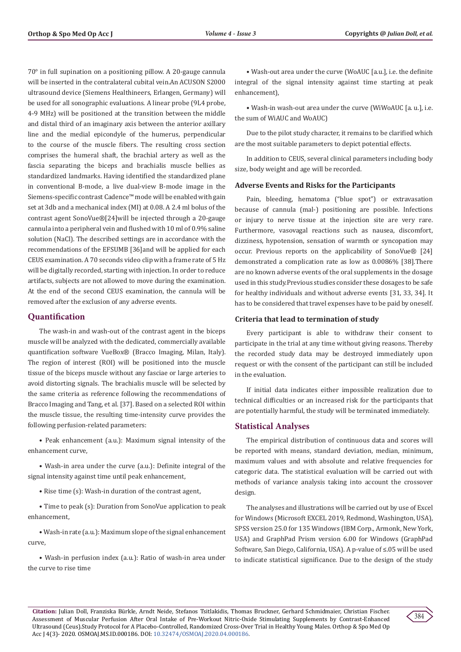70° in full supination on a positioning pillow. A 20-gauge cannula will be inserted in the contralateral cubital vein.An ACUSON S2000 ultrasound device (Siemens Healthineers, Erlangen, Germany) will be used for all sonographic evaluations. A linear probe (9L4 probe, 4-9 MHz) will be positioned at the transition between the middle and distal third of an imaginary axis between the anterior axillary line and the medial epicondyle of the humerus, perpendicular to the course of the muscle fibers. The resulting cross section comprises the humeral shaft, the brachial artery as well as the fascia separating the biceps and brachialis muscle bellies as standardized landmarks. Having identified the standardized plane in conventional B-mode, a live dual-view B-mode image in the Siemens-specific contrast Cadence™ mode will be enabled with gain set at 3db and a mechanical index (MI) at 0.08. A 2.4 ml bolus of the contrast agent SonoVue®[24]will be injected through a 20-gauge cannula into a peripheral vein and flushed with 10 ml of 0.9% saline solution (NaCl). The described settings are in accordance with the recommendations of the EFSUMB [36]and will be applied for each CEUS examination. A 70 seconds video clip with a frame rate of 5 Hz will be digitally recorded, starting with injection. In order to reduce artifacts, subjects are not allowed to move during the examination. At the end of the second CEUS examination, the cannula will be removed after the exclusion of any adverse events.

# **Quantification**

The wash-in and wash-out of the contrast agent in the biceps muscle will be analyzed with the dedicated, commercially available quantification software VueBox® (Bracco Imaging, Milan, Italy). The region of interest (ROI) will be positioned into the muscle tissue of the biceps muscle without any fasciae or large arteries to avoid distorting signals. The brachialis muscle will be selected by the same criteria as reference following the recommendations of Bracco Imaging and Tang, et al. [37]. Based on a selected ROI within the muscle tissue, the resulting time-intensity curve provides the following perfusion-related parameters:

• Peak enhancement (a.u.): Maximum signal intensity of the enhancement curve,

• Wash-in area under the curve (a.u.): Definite integral of the signal intensity against time until peak enhancement,

• Rise time (s): Wash-in duration of the contrast agent,

• Time to peak (s): Duration from SonoVue application to peak enhancement,

• Wash-in rate (a.u.): Maximum slope of the signal enhancement curve,

• Wash-in perfusion index (a.u.): Ratio of wash-in area under the curve to rise time

• Wash-out area under the curve (WoAUC [a.u.], i.e. the definite integral of the signal intensity against time starting at peak enhancement),

• Wash-in wash-out area under the curve (WiWoAUC [a. u.], i.e. the sum of WiAUC and WoAUC)

Due to the pilot study character, it remains to be clarified which are the most suitable parameters to depict potential effects.

In addition to CEUS, several clinical parameters including body size, body weight and age will be recorded.

# **Adverse Events and Risks for the Participants**

Pain, bleeding, hematoma ("blue spot") or extravasation because of cannula (mal-) positioning are possible. Infections or injury to nerve tissue at the injection site are very rare. Furthermore, vasovagal reactions such as nausea, discomfort, dizziness, hypotension, sensation of warmth or syncopation may occur. Previous reports on the applicability of SonoVue® [24] demonstrated a complication rate as low as 0.0086% [38].There are no known adverse events of the oral supplements in the dosage used in this study.Previous studies consider these dosages to be safe for healthy individuals and without adverse events [31, 33, 34]. It has to be considered that travel expenses have to be paid by oneself.

# **Criteria that lead to termination of study**

Every participant is able to withdraw their consent to participate in the trial at any time without giving reasons. Thereby the recorded study data may be destroyed immediately upon request or with the consent of the participant can still be included in the evaluation.

If initial data indicates either impossible realization due to technical difficulties or an increased risk for the participants that are potentially harmful, the study will be terminated immediately.

# **Statistical Analyses**

The empirical distribution of continuous data and scores will be reported with means, standard deviation, median, minimum, maximum values and with absolute and relative frequencies for categoric data. The statistical evaluation will be carried out with methods of variance analysis taking into account the crossover design.

The analyses and illustrations will be carried out by use of Excel for Windows (Microsoft EXCEL 2019, Redmond, Washington, USA), SPSS version 25.0 for 135 Windows (IBM Corp., Armonk, New York, USA) and GraphPad Prism version 6.00 for Windows (GraphPad Software, San Diego, California, USA). A p-value of ≤.05 will be used to indicate statistical significance. Due to the design of the study

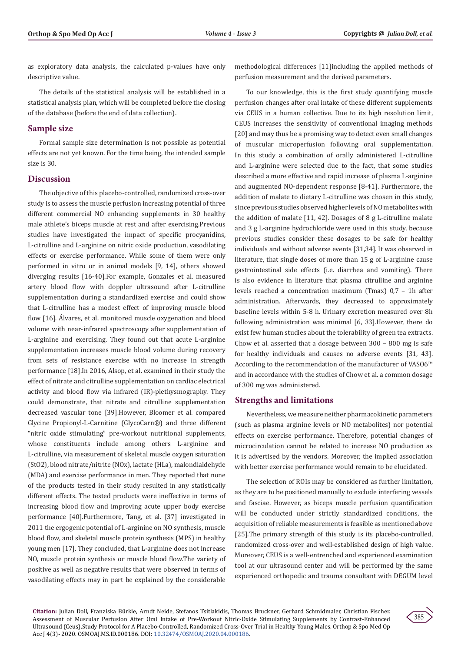as exploratory data analysis, the calculated p-values have only descriptive value.

The details of the statistical analysis will be established in a statistical analysis plan, which will be completed before the closing of the database (before the end of data collection).

# **Sample size**

Formal sample size determination is not possible as potential effects are not yet known. For the time being, the intended sample size is 30.

# **Discussion**

The objective of this placebo-controlled, randomized cross-over study is to assess the muscle perfusion increasing potential of three different commercial NO enhancing supplements in 30 healthy male athlete's biceps muscle at rest and after exercising.Previous studies have investigated the impact of specific procyanidins, L-citrulline and L-arginine on nitric oxide production, vasodilating effects or exercise performance. While some of them were only performed in vitro or in animal models [9, 14], others showed diverging results [16-40].For example, Gonzales et al. measured artery blood flow with doppler ultrasound after L-citrulline supplementation during a standardized exercise and could show that L-citrulline has a modest effect of improving muscle blood flow [16]. Álvares, et al. monitored muscle oxygenation and blood volume with near-infrared spectroscopy after supplementation of L-arginine and exercising. They found out that acute L-arginine supplementation increases muscle blood volume during recovery from sets of resistance exercise with no increase in strength performance [18].In 2016, Alsop, et al. examined in their study the effect of nitrate and citrulline supplementation on cardiac electrical activity and blood flow via infrared (IR)-plethysmography. They could demonstrate, that nitrate and citrulline supplementation decreased vascular tone [39].However, Bloomer et al. compared Glycine Propionyl-L-Carnitine (GlycoCarn®) and three different "nitric oxide stimulating" pre-workout nutritional supplements, whose constituents include among others L-arginine and L-citrulline, via measurement of skeletal muscle oxygen saturation (StO2), blood nitrate/nitrite (NOx), lactate (HLa), malondialdehyde (MDA) and exercise performance in men. They reported that none of the products tested in their study resulted in any statistically different effects. The tested products were ineffective in terms of increasing blood flow and improving acute upper body exercise performance [40].Furthermore, Tang, et al. [37] investigated in 2011 the ergogenic potential of L-arginine on NO synthesis, muscle blood flow, and skeletal muscle protein synthesis (MPS) in healthy young men [17]. They concluded, that L-arginine does not increase NO, muscle protein synthesis or muscle blood flow.The variety of positive as well as negative results that were observed in terms of vasodilating effects may in part be explained by the considerable

methodological differences [11]including the applied methods of perfusion measurement and the derived parameters.

To our knowledge, this is the first study quantifying muscle perfusion changes after oral intake of these different supplements via CEUS in a human collective. Due to its high resolution limit, CEUS increases the sensitivity of conventional imaging methods [20] and may thus be a promising way to detect even small changes of muscular microperfusion following oral supplementation. In this study a combination of orally administered L-citrulline and L-arginine were selected due to the fact, that some studies described a more effective and rapid increase of plasma L-arginine and augmented NO-dependent response [8-41]. Furthermore, the addition of malate to dietary L-citrulline was chosen in this study, since previous studies observed higher levels of NO metabolites with the addition of malate [11, 42]. Dosages of 8 g L-citrulline malate and 3 g L-arginine hydrochloride were used in this study, because previous studies consider these dosages to be safe for healthy individuals and without adverse events [31,34]. It was observed in literature, that single doses of more than 15 g of L-arginine cause gastrointestinal side effects (i.e. diarrhea and vomiting). There is also evidence in literature that plasma citrulline and arginine levels reached a concentration maximum (Tmax) 0,7 – 1h after administration. Afterwards, they decreased to approximately baseline levels within 5-8 h. Urinary excretion measured over 8h following administration was minimal [6, 33].However, there do exist few human studies about the tolerability of green tea extracts. Chow et al. asserted that a dosage between 300 – 800 mg is safe for healthy individuals and causes no adverse events [31, 43]. According to the recommendation of the manufacturer of VASO6™ and in accordance with the studies of Chow et al. a common dosage of 300 mg was administered.

# **Strengths and limitations**

Nevertheless, we measure neither pharmacokinetic parameters (such as plasma arginine levels or NO metabolites) nor potential effects on exercise performance. Therefore, potential changes of microcirculation cannot be related to increase NO production as it is advertised by the vendors. Moreover, the implied association with better exercise performance would remain to be elucidated.

The selection of ROIs may be considered as further limitation, as they are to be positioned manually to exclude interfering vessels and fasciae. However, as biceps muscle perfusion quantification will be conducted under strictly standardized conditions, the acquisition of reliable measurements is feasible as mentioned above [25].The primary strength of this study is its placebo-controlled, randomized cross-over and well-established design of high value. Moreover, CEUS is a well-entrenched and experienced examination tool at our ultrasound center and will be performed by the same experienced orthopedic and trauma consultant with DEGUM level

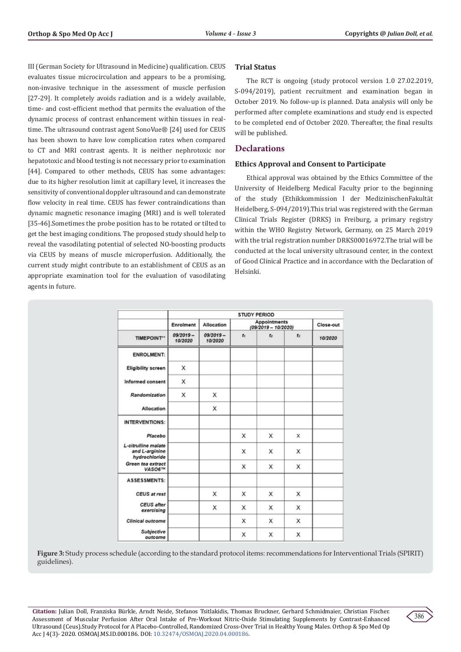III (German Society for Ultrasound in Medicine) qualification. CEUS evaluates tissue microcirculation and appears to be a promising, non-invasive technique in the assessment of muscle perfusion [27-29]. It completely avoids radiation and is a widely available, time- and cost-efficient method that permits the evaluation of the dynamic process of contrast enhancement within tissues in realtime. The ultrasound contrast agent SonoVue® [24] used for CEUS has been shown to have low complication rates when compared to CT and MRI contrast agents. It is neither nephrotoxic nor hepatotoxic and blood testing is not necessary prior to examination [44]. Compared to other methods, CEUS has some advantages: due to its higher resolution limit at capillary level, it increases the sensitivity of conventional doppler ultrasound and can demonstrate flow velocity in real time. CEUS has fewer contraindications than dynamic magnetic resonance imaging (MRI) and is well tolerated [35-46].Sometimes the probe position has to be rotated or tilted to get the best imaging conditions. The proposed study should help to reveal the vasodilating potential of selected NO-boosting products via CEUS by means of muscle microperfusion. Additionally, the current study might contribute to an establishment of CEUS as an appropriate examination tool for the evaluation of vasodilating agents in future.

# **Trial Status**

The RCT is ongoing (study protocol version 1.0 27.02.2019, S-094/2019), patient recruitment and examination began in October 2019. No follow-up is planned. Data analysis will only be performed after complete examinations and study end is expected to be completed end of October 2020. Thereafter, the final results will be published.

# **Declarations**

# **Ethics Approval and Consent to Participate**

Ethical approval was obtained by the Ethics Committee of the University of Heidelberg Medical Faculty prior to the beginning of the study (Ethikkommission I der MedizinischenFakultät Heidelberg, S-094/2019).This trial was registered with the German Clinical Trials Register (DRKS) in Freiburg, a primary registry within the WHO Registry Network, Germany, on 25 March 2019 with the trial registration number DRKS00016972.The trial will be conducted at the local university ultrasound center, in the context of Good Clinical Practice and in accordance with the Declaration of Helsinki.

|                                                        | <b>STUDY PERIOD</b>    |                        |                                       |                |                |           |  |  |
|--------------------------------------------------------|------------------------|------------------------|---------------------------------------|----------------|----------------|-----------|--|--|
|                                                        | <b>Enrolment</b>       | <b>Allocation</b>      | Appointments<br>$(09/2019 - 10/2020)$ |                |                | Close-out |  |  |
| TIMEPOINT"                                             | $09/2019 -$<br>10/2020 | $09/2019 -$<br>10/2020 | $t_{1}$                               | t <sub>2</sub> | t <sub>2</sub> | 10/2020   |  |  |
| <b>ENROLMENT:</b>                                      |                        |                        |                                       |                |                |           |  |  |
| <b>Eligibility screen</b>                              | X                      |                        |                                       |                |                |           |  |  |
| <b>Informed consent</b>                                | X                      |                        |                                       |                |                |           |  |  |
| Randomization                                          | X                      | X                      |                                       |                |                |           |  |  |
| Allocation                                             |                        | X                      |                                       |                |                |           |  |  |
| <b>INTERVENTIONS:</b>                                  |                        |                        |                                       |                |                |           |  |  |
| Placebo                                                |                        |                        | x                                     | X              | X              |           |  |  |
| L-citrulline malate<br>and L-arginine<br>hydrochloride |                        |                        | x                                     | X              | x              |           |  |  |
| Green tea extract<br>VASO6™                            |                        |                        | x                                     | X              | X              |           |  |  |
| <b>ASSESSMENTS:</b>                                    |                        |                        |                                       |                |                |           |  |  |
| <b>CEUS</b> at rest                                    |                        | x                      | х                                     | х              | x              |           |  |  |
| <b>CEUS</b> after<br>exercising                        |                        | x                      | X                                     | X              | X              |           |  |  |
| <b>Clinical outcome</b>                                |                        |                        | X                                     | X              | X              |           |  |  |
| Subjective<br>outcome                                  |                        |                        | x                                     | х              | x              |           |  |  |

**Figure 3:** Study process schedule (according to the standard protocol items: recommendations for Interventional Trials (SPIRIT) guidelines).

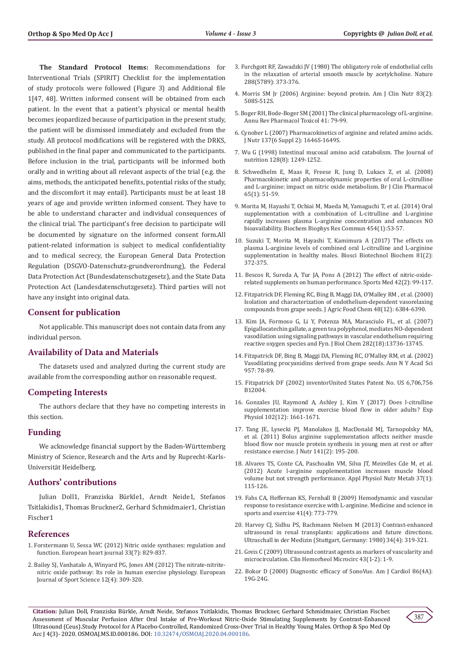**The Standard Protocol Items:** Recommendations for Interventional Trials (SPIRIT) Checklist for the implementation of study protocols were followed (Figure 3) and Additional file 1[47, 48]. Written informed consent will be obtained from each patient. In the event that a patient's physical or mental health becomes jeopardized because of participation in the present study, the patient will be dismissed immediately and excluded from the study. All protocol modifications will be registered with the DRKS, published in the final paper and communicated to the participants. Before inclusion in the trial, participants will be informed both orally and in writing about all relevant aspects of the trial (e.g. the aims, methods, the anticipated benefits, potential risks of the study, and the discomfort it may entail). Participants must be at least 18 years of age and provide written informed consent. They have to be able to understand character and individual consequences of the clinical trial. The participant's free decision to participate will be documented by signature on the informed consent form.All patient-related information is subject to medical confidentiality and to medical secrecy, the European General Data Protection Regulation (DSGVO-Datenschutz-grundverordnung), the Federal Data Protection Act (Bundesdatenschutzgesetz), and the State Data Protection Act (Landesdatenschutzgesetz). Third parties will not have any insight into original data.

## **Consent for publication**

Not applicable. This manuscript does not contain data from any individual person.

#### **Availability of Data and Materials**

The datasets used and analyzed during the current study are available from the corresponding author on reasonable request.

# **Competing Interests**

The authors declare that they have no competing interests in this section.

#### **Funding**

We acknowledge financial support by the Baden-Württemberg Ministry of Science, Research and the Arts and by Ruprecht-Karls-Universität Heidelberg.

## **Authors' contributions**

Julian Doll1, Franziska Bürkle1, Arndt Neide1, Stefanos Tsitlakidis1, Thomas Bruckner2, Gerhard Schmidmaier1, Christian Fischer1

#### **References**

- 1. [Forstermann U, Sessa WC \(2012\) Nitric oxide synthases: regulation and](https://www.ncbi.nlm.nih.gov/pmc/articles/PMC3345541/)  [function. European heart journal 33\(7\): 829-837.](https://www.ncbi.nlm.nih.gov/pmc/articles/PMC3345541/)
- 2. [Bailey SJ, Vanhatalo A, Winyard PG, Jones AM \(2012\) The nitrate-nitrite](https://www.tandfonline.com/doi/abs/10.1080/17461391.2011.635705)[nitric oxide pathway: Its role in human exercise physiology. European](https://www.tandfonline.com/doi/abs/10.1080/17461391.2011.635705)  [Journal of Sport Science 12\(4\): 309-320.](https://www.tandfonline.com/doi/abs/10.1080/17461391.2011.635705)
- 3. [Furchgott RF, Zawadzki JV \(1980\) The obligatory role of endothelial cells](https://pubmed.ncbi.nlm.nih.gov/6253831/) [in the relaxation of arterial smooth muscle by acetylcholine. Nature](https://pubmed.ncbi.nlm.nih.gov/6253831/) [288\(5789\): 373-376.](https://pubmed.ncbi.nlm.nih.gov/6253831/)
- 4. [Morris SM Jr \(2006\) Arginine: beyond protein. Am J Clin Nutr 83\(2\):](https://pubmed.ncbi.nlm.nih.gov/16470022/) [508S-512S.](https://pubmed.ncbi.nlm.nih.gov/16470022/)
- 5. Boger RH, Bode-Boger SM (2001) The clinical pharmacology of L-arginine. Annu Rev Pharmacol Toxicol 41: 79-99.
- 6. [Cynober L \(2007\) Pharmacokinetics of arginine and related amino acids.](https://pubmed.ncbi.nlm.nih.gov/17513441/) [J Nutr 137\(6 Suppl 2\): 1646S-1649S.](https://pubmed.ncbi.nlm.nih.gov/17513441/)
- 7. [Wu G \(1998\) Intestinal mucosal amino acid catabolism. The Journal of](https://pubmed.ncbi.nlm.nih.gov/9687539/) [nutrition 128\(8\): 1249-1252.](https://pubmed.ncbi.nlm.nih.gov/9687539/)
- 8. Schwedhelm E, Maas R, Freese R, Jung D, Lukacs Z, et al. (2008) Pharmacokinetic and pharmacodynamic properties of oral L-citrulline and L-arginine: impact on nitric oxide metabolism. Br J Clin Pharmacol 65(1): 51-59.
- 9. [Morita M, Hayashi T, Ochiai M, Maeda M, Yamaguchi T, et al. \(2014\) Oral](https://pubmed.ncbi.nlm.nih.gov/25445598/) [supplementation with a combination of L-citrulline and L-arginine](https://pubmed.ncbi.nlm.nih.gov/25445598/) [rapidly increases plasma L-arginine concentration and enhances NO](https://pubmed.ncbi.nlm.nih.gov/25445598/) [bioavailability. Biochem Biophys Res Commun 454\(1\):53-57.](https://pubmed.ncbi.nlm.nih.gov/25445598/)
- 10. Suzuki T, Morita M, Hayashi T, Kamimura A (2017) The effects on plasma L-arginine levels of combined oral L-citrulline and L-arginine supplementation in healthy males. Biosci Biotechnol Biochem 81(2): 372-375.
- 11. Bescos R, Sureda A, Tur JA, Pons A (2012) The effect of nitric-oxiderelated supplements on human performance. Sports Med 42(2): 99-117.
- 12. [Fitzpatrick DF, Fleming RC, Bing B, Maggi DA, O](https://pubs.acs.org/doi/full/10.1021/jf0009347)'Malley RM , et al. (2000) [Isolation and characterization of endothelium-dependent vasorelaxing](https://pubs.acs.org/doi/full/10.1021/jf0009347) [compounds from grape seeds. J Agric Food Chem 48\(12\): 6384-6390.](https://pubs.acs.org/doi/full/10.1021/jf0009347)
- 13. [Kim JA, Formoso G, Li Y, Potenza MA, Marasciulo FL, et al. \(2007\)](https://pubmed.ncbi.nlm.nih.gov/17363366/) [Epigallocatechin gallate, a green tea polyphenol, mediates NO-dependent](https://pubmed.ncbi.nlm.nih.gov/17363366/) [vasodilation using signaling pathways in vascular endothelium requiring](https://pubmed.ncbi.nlm.nih.gov/17363366/) [reactive oxygen species and Fyn. J Biol Chem 282\(18\):13736-13745.](https://pubmed.ncbi.nlm.nih.gov/17363366/)
- 14. Fitzpatrick DF, Bing B, Maggi DA, Fleming RC, O'Malley RM, et al. (2002) Vasodilating procyanidins derived from grape seeds. Ann N Y Acad Sci 957: 78-89.
- 15. [Fitzpatrick DF \(2002\) inventorUnited States Patent No. US 6,706,756](https://patents.google.com/patent/US6706756B1/en) [B12004.](https://patents.google.com/patent/US6706756B1/en)
- 16. Gonzales JU, Raymond A, Ashley J, Kim Y (2017) Does l-citrulline supplementation improve exercise blood flow in older adults? Exp Physiol 102(12): 1661-1671.
- 17. Tang JE, Lysecki PJ, Manolakos JJ, MacDonald MJ, Tarnopolsky MA, et al. (2011) Bolus arginine supplementation affects neither muscle blood flow nor muscle protein synthesis in young men at rest or after resistance exercise. J Nutr 141(2): 195-200.
- 18. Alvares TS, Conte CA, Paschoalin VM, Silva JT, Meirelles Cde M, et al. (2012) Acute l-arginine supplementation increases muscle blood volume but not strength performance. Appl Physiol Nutr Metab 37(1): 115-126.
- 19. [Fahs CA, Heffernan KS, Fernhall B \(2009\) Hemodynamic and vascular](https://pubmed.ncbi.nlm.nih.gov/19276857/) [response to resistance exercise with L-arginine. Medicine and science in](https://pubmed.ncbi.nlm.nih.gov/19276857/) [sports and exercise 41\(4\): 773-779.](https://pubmed.ncbi.nlm.nih.gov/19276857/)
- 20. [Harvey CJ, Sidhu PS, Bachmann Nielsen M \(2013\) Contrast-enhanced](https://pubmed.ncbi.nlm.nih.gov/23929378/) [ultrasound in renal transplants: applications and future directions.](https://pubmed.ncbi.nlm.nih.gov/23929378/) [Ultraschall in der Medizin \(Stuttgart, Germany: 1980\) 34\(4\): 319-321.](https://pubmed.ncbi.nlm.nih.gov/23929378/)
- 21. [Greis C \(2009\) Ultrasound contrast agents as markers of vascularity and](https://pubmed.ncbi.nlm.nih.gov/19713597/) [microcirculation. Clin Hemorheol Microcirc 43\(1-2\): 1-9.](https://pubmed.ncbi.nlm.nih.gov/19713597/)
- 22. [Bokor D \(2000\) Diagnostic efficacy of SonoVue. Am J Cardiol 86\(4A\):](https://pubmed.ncbi.nlm.nih.gov/10997347/) [19G-24G.](https://pubmed.ncbi.nlm.nih.gov/10997347/)